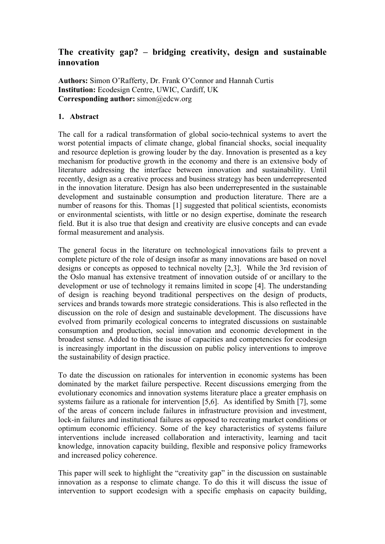# **The creativity gap? – bridging creativity, design and sustainable innovation**

**Authors:** Simon O'Rafferty, Dr. Frank O'Connor and Hannah Curtis **Institution:** Ecodesign Centre, UWIC, Cardiff, UK **Corresponding author:** simon@edcw.org

### **1. Abstract**

The call for a radical transformation of global socio-technical systems to avert the worst potential impacts of climate change, global financial shocks, social inequality and resource depletion is growing louder by the day. Innovation is presented as a key mechanism for productive growth in the economy and there is an extensive body of literature addressing the interface between innovation and sustainability. Until recently, design as a creative process and business strategy has been underrepresented in the innovation literature. Design has also been underrepresented in the sustainable development and sustainable consumption and production literature. There are a number of reasons for this. Thomas [1] suggested that political scientists, economists or environmental scientists, with little or no design expertise, dominate the research field. But it is also true that design and creativity are elusive concepts and can evade formal measurement and analysis.

The general focus in the literature on technological innovations fails to prevent a complete picture of the role of design insofar as many innovations are based on novel designs or concepts as opposed to technical novelty [2,3]. While the 3rd revision of the Oslo manual has extensive treatment of innovation outside of or ancillary to the development or use of technology it remains limited in scope [4]. The understanding of design is reaching beyond traditional perspectives on the design of products, services and brands towards more strategic considerations. This is also reflected in the discussion on the role of design and sustainable development. The discussions have evolved from primarily ecological concerns to integrated discussions on sustainable consumption and production, social innovation and economic development in the broadest sense. Added to this the issue of capacities and competencies for ecodesign is increasingly important in the discussion on public policy interventions to improve the sustainability of design practice.

To date the discussion on rationales for intervention in economic systems has been dominated by the market failure perspective. Recent discussions emerging from the evolutionary economics and innovation systems literature place a greater emphasis on systems failure as a rationale for intervention [5,6]. As identified by Smith [7], some of the areas of concern include failures in infrastructure provision and investment, lock-in failures and institutional failures as opposed to recreating market conditions or optimum economic efficiency. Some of the key characteristics of systems failure interventions include increased collaboration and interactivity, learning and tacit knowledge, innovation capacity building, flexible and responsive policy frameworks and increased policy coherence.

This paper will seek to highlight the "creativity gap" in the discussion on sustainable innovation as a response to climate change. To do this it will discuss the issue of intervention to support ecodesign with a specific emphasis on capacity building,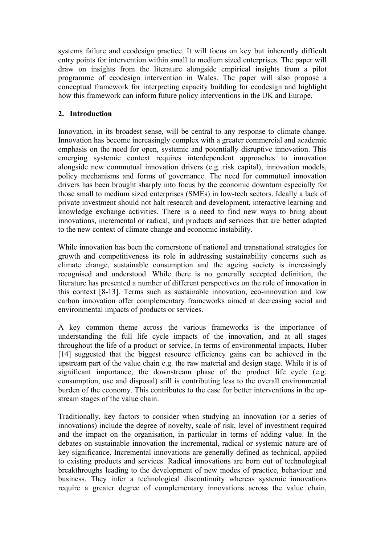systems failure and ecodesign practice. It will focus on key but inherently difficult entry points for intervention within small to medium sized enterprises. The paper will draw on insights from the literature alongside empirical insights from a pilot programme of ecodesign intervention in Wales. The paper will also propose a conceptual framework for interpreting capacity building for ecodesign and highlight how this framework can inform future policy interventions in the UK and Europe.

## **2. Introduction**

Innovation, in its broadest sense, will be central to any response to climate change. Innovation has become increasingly complex with a greater commercial and academic emphasis on the need for open, systemic and potentially disruptive innovation. This emerging systemic context requires interdependent approaches to innovation alongside new commutual innovation drivers (e.g. risk capital), innovation models, policy mechanisms and forms of governance. The need for commutual innovation drivers has been brought sharply into focus by the economic downturn especially for those small to medium sized enterprises (SMEs) in low-tech sectors. Ideally a lack of private investment should not halt research and development, interactive learning and knowledge exchange activities. There is a need to find new ways to bring about innovations, incremental or radical, and products and services that are better adapted to the new context of climate change and economic instability.

While innovation has been the cornerstone of national and transnational strategies for growth and competitiveness its role in addressing sustainability concerns such as climate change, sustainable consumption and the ageing society is increasingly recognised and understood. While there is no generally accepted definition, the literature has presented a number of different perspectives on the role of innovation in this context [8-13]. Terms such as sustainable innovation, eco-innovation and low carbon innovation offer complementary frameworks aimed at decreasing social and environmental impacts of products or services.

A key common theme across the various frameworks is the importance of understanding the full life cycle impacts of the innovation, and at all stages throughout the life of a product or service. In terms of environmental impacts, Huber [14] suggested that the biggest resource efficiency gains can be achieved in the upstream part of the value chain e.g. the raw material and design stage. While it is of significant importance, the downstream phase of the product life cycle (e.g. consumption, use and disposal) still is contributing less to the overall environmental burden of the economy. This contributes to the case for better interventions in the upstream stages of the value chain.

Traditionally, key factors to consider when studying an innovation (or a series of innovations) include the degree of novelty, scale of risk, level of investment required and the impact on the organisation, in particular in terms of adding value. In the debates on sustainable innovation the incremental, radical or systemic nature are of key significance. Incremental innovations are generally defined as technical, applied to existing products and services. Radical innovations are born out of technological breakthroughs leading to the development of new modes of practice, behaviour and business. They infer a technological discontinuity whereas systemic innovations require a greater degree of complementary innovations across the value chain,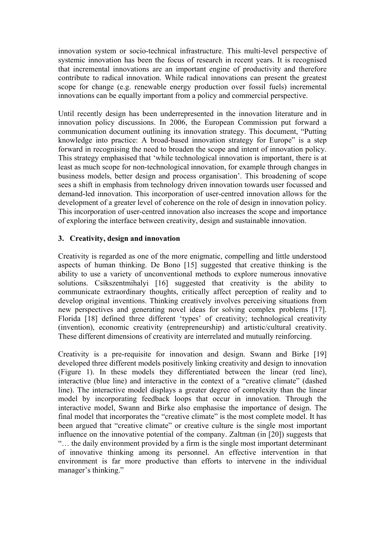innovation system or socio-technical infrastructure. This multi-level perspective of systemic innovation has been the focus of research in recent years. It is recognised that incremental innovations are an important engine of productivity and therefore contribute to radical innovation. While radical innovations can present the greatest scope for change (e.g. renewable energy production over fossil fuels) incremental innovations can be equally important from a policy and commercial perspective.

Until recently design has been underrepresented in the innovation literature and in innovation policy discussions. In 2006, the European Commission put forward a communication document outlining its innovation strategy. This document, "Putting knowledge into practice: A broad-based innovation strategy for Europe" is a step forward in recognising the need to broaden the scope and intent of innovation policy. This strategy emphasised that 'while technological innovation is important, there is at least as much scope for non-technological innovation, for example through changes in business models, better design and process organisation'. This broadening of scope sees a shift in emphasis from technology driven innovation towards user focussed and demand-led innovation. This incorporation of user-centred innovation allows for the development of a greater level of coherence on the role of design in innovation policy. This incorporation of user-centred innovation also increases the scope and importance of exploring the interface between creativity, design and sustainable innovation.

### **3. Creativity, design and innovation**

Creativity is regarded as one of the more enigmatic, compelling and little understood aspects of human thinking. De Bono [15] suggested that creative thinking is the ability to use a variety of unconventional methods to explore numerous innovative solutions. Csikszentmihalyi [16] suggested that creativity is the ability to communicate extraordinary thoughts, critically affect perception of reality and to develop original inventions. Thinking creatively involves perceiving situations from new perspectives and generating novel ideas for solving complex problems [17]. Florida [18] defined three different 'types' of creativity; technological creativity (invention), economic creativity (entrepreneurship) and artistic/cultural creativity. These different dimensions of creativity are interrelated and mutually reinforcing.

Creativity is a pre-requisite for innovation and design. Swann and Birke [19] developed three different models positively linking creativity and design to innovation ([Figure 1](#page-3-0)). In these models they differentiated between the linear (red line), interactive (blue line) and interactive in the context of a "creative climate" (dashed line). The interactive model displays a greater degree of complexity than the linear model by incorporating feedback loops that occur in innovation. Through the interactive model, Swann and Birke also emphasise the importance of design. The final model that incorporates the "creative climate" is the most complete model. It has been argued that "creative climate" or creative culture is the single most important influence on the innovative potential of the company. Zaltman (in [20]) suggests that "… the daily environment provided by a firm is the single most important determinant of innovative thinking among its personnel. An effective intervention in that environment is far more productive than efforts to intervene in the individual manager's thinking."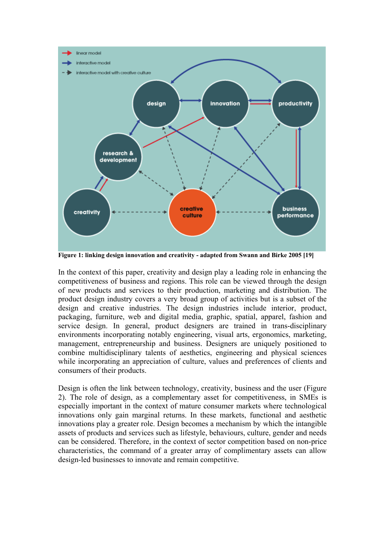

<span id="page-3-0"></span>**Figure 1: linking design innovation and creativity - adapted from Swann and Birke 2005 [19]** 

In the context of this paper, creativity and design play a leading role in enhancing the competitiveness of business and regions. This role can be viewed through the design of new products and services to their production, marketing and distribution. The product design industry covers a very broad group of activities but is a subset of the design and creative industries. The design industries include interior, product, packaging, furniture, web and digital media, graphic, spatial, apparel, fashion and service design. In general, product designers are trained in trans-disciplinary environments incorporating notably engineering, visual arts, ergonomics, marketing, management, entrepreneurship and business. Designers are uniquely positioned to combine multidisciplinary talents of aesthetics, engineering and physical sciences while incorporating an appreciation of culture, values and preferences of clients and consumers of their products.

Design is often the link between technology, creativity, business and the user [\(Figure](#page-4-0)  [2](#page-4-0)). The role of design, as a complementary asset for competitiveness, in SMEs is especially important in the context of mature consumer markets where technological innovations only gain marginal returns. In these markets, functional and aesthetic innovations play a greater role. Design becomes a mechanism by which the intangible assets of products and services such as lifestyle, behaviours, culture, gender and needs can be considered. Therefore, in the context of sector competition based on non-price characteristics, the command of a greater array of complimentary assets can allow design-led businesses to innovate and remain competitive.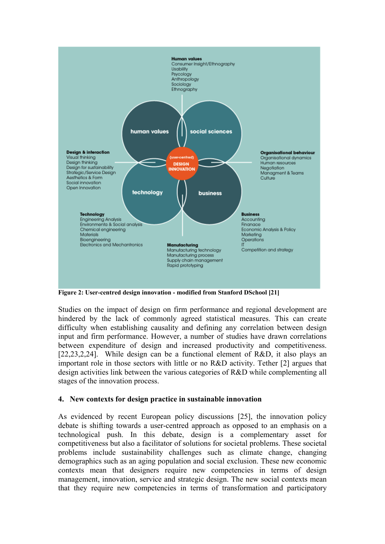

<span id="page-4-0"></span>**Figure 2: User-centred design innovation - modified from Stanford DSchool [21]** 

Studies on the impact of design on firm performance and regional development are hindered by the lack of commonly agreed statistical measures. This can create difficulty when establishing causality and defining any correlation between design input and firm performance. However, a number of studies have drawn correlations between expenditure of design and increased productivity and competitiveness. [22,23,2,24]. While design can be a functional element of R&D, it also plays an important role in those sectors with little or no R&D activity. Tether [2] argues that design activities link between the various categories of R&D while complementing all stages of the innovation process.

### **4. New contexts for design practice in sustainable innovation**

As evidenced by recent European policy discussions [25], the innovation policy debate is shifting towards a user-centred approach as opposed to an emphasis on a technological push. In this debate, design is a complementary asset for competitiveness but also a facilitator of solutions for societal problems. These societal problems include sustainability challenges such as climate change, changing demographics such as an aging population and social exclusion. These new economic contexts mean that designers require new competencies in terms of design management, innovation, service and strategic design. The new social contexts mean that they require new competencies in terms of transformation and participatory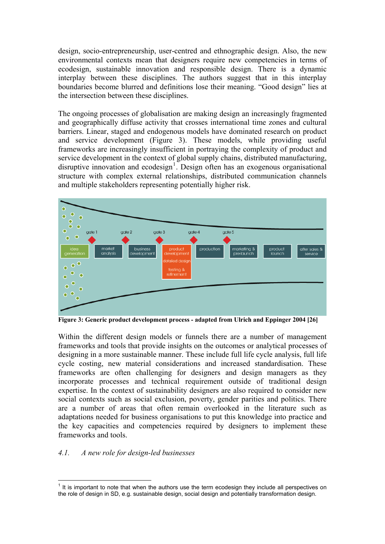design, socio-entrepreneurship, user-centred and ethnographic design. Also, the new environmental contexts mean that designers require new competencies in terms of ecodesign, sustainable innovation and responsible design. There is a dynamic interplay between these disciplines. The authors suggest that in this interplay boundaries become blurred and definitions lose their meaning. "Good design" lies at the intersection between these disciplines.

The ongoing processes of globalisation are making design an increasingly fragmented and geographically diffuse activity that crosses international time zones and cultural barriers. Linear, staged and endogenous models have dominated research on product and service development ([Figure 3](#page-5-1)). These models, while providing useful frameworks are increasingly insufficient in portraying the complexity of product and service development in the context of global supply chains, distributed manufacturing, disruptive innovation and ecodesign<sup>[1](#page-5-0)</sup>. Design often has an exogenous organisational structure with complex external relationships, distributed communication channels and multiple stakeholders representing potentially higher risk.



<span id="page-5-1"></span>**Figure 3: Generic product development process - adapted from Ulrich and Eppinger 2004 [26]** 

Within the different design models or funnels there are a number of management frameworks and tools that provide insights on the outcomes or analytical processes of designing in a more sustainable manner. These include full life cycle analysis, full life cycle costing, new material considerations and increased standardisation. These frameworks are often challenging for designers and design managers as they incorporate processes and technical requirement outside of traditional design expertise. In the context of sustainability designers are also required to consider new social contexts such as social exclusion, poverty, gender parities and politics. There are a number of areas that often remain overlooked in the literature such as adaptations needed for business organisations to put this knowledge into practice and the key capacities and competencies required by designers to implement these frameworks and tools.

#### *4.1. A new role for design-led businesses*

<span id="page-5-0"></span>THE TERN THE TERN TERN THE TERN THE TERN TERSPECT THE TERN THE TERN THE TERN THE TERN THE TERN THE TERN THE TE<br>The is important to note that when the authors use the term ecodesign they include all perspectives on the role of design in SD, e.g. sustainable design, social design and potentially transformation design.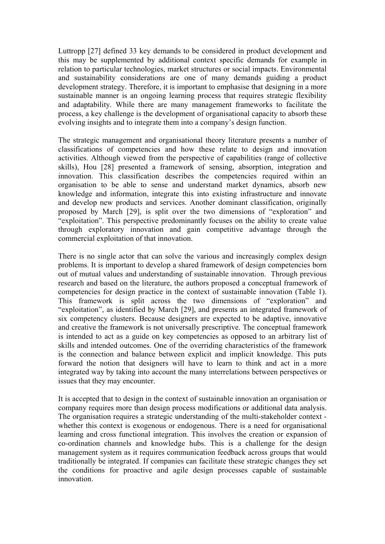Luttropp [27] defined 33 key demands to be considered in product development and this may be supplemented by additional context specific demands for example in relation to particular technologies, market structures or social impacts. Environmental and sustainability considerations are one of many demands guiding a product development strategy. Therefore, it is important to emphasise that designing in a more sustainable manner is an ongoing learning process that requires strategic flexibility and adaptability. While there are many management frameworks to facilitate the process, a key challenge is the development of organisational capacity to absorb these evolving insights and to integrate them into a company's design function.

The strategic management and organisational theory literature presents a number of classifications of competencies and how these relate to design and innovation activities. Although viewed from the perspective of capabilities (range of collective skills), Hou [28] presented a framework of sensing, absorption, integration and innovation. This classification describes the competencies required within an organisation to be able to sense and understand market dynamics, absorb new knowledge and information, integrate this into existing infrastructure and innovate and develop new products and services. Another dominant classification, originally proposed by March [29], is split over the two dimensions of "exploration" and "exploitation". This perspective predominantly focuses on the ability to create value through exploratory innovation and gain competitive advantage through the commercial exploitation of that innovation.

There is no single actor that can solve the various and increasingly complex design problems. It is important to develop a shared framework of design competencies born out of mutual values and understanding of sustainable innovation. Through previous research and based on the literature, the authors proposed a conceptual framework of competencies for design practice in the context of sustainable innovation (Table 1). This framework is split across the two dimensions of "exploration" and "exploitation", as identified by March [29], and presents an integrated framework of six competency clusters. Because designers are expected to be adaptive, innovative and creative the framework is not universally prescriptive. The conceptual framework is intended to act as a guide on key competencies as opposed to an arbitrary list of skills and intended outcomes. One of the overriding characteristics of the framework is the connection and balance between explicit and implicit knowledge. This puts forward the notion that designers will have to learn to think and act in a more integrated way by taking into account the many interrelations between perspectives or issues that they may encounter.

It is accepted that to design in the context of sustainable innovation an organisation or company requires more than design process modifications or additional data analysis. The organisation requires a strategic understanding of the multi-stakeholder context whether this context is exogenous or endogenous. There is a need for organisational learning and cross functional integration. This involves the creation or expansion of co-ordination channels and knowledge hubs. This is a challenge for the design management system as it requires communication feedback across groups that would traditionally be integrated. If companies can facilitate these strategic changes they set the conditions for proactive and agile design processes capable of sustainable innovation.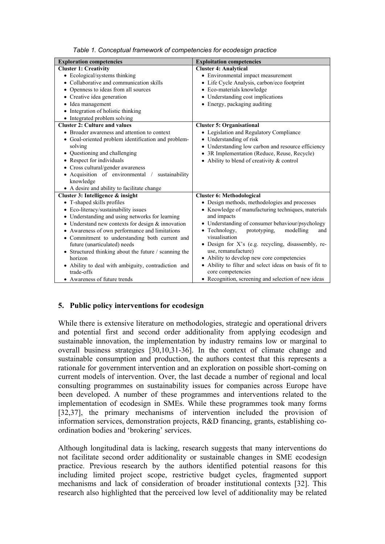| <b>Exploration competencies</b>                       | <b>Exploitation competencies</b>                        |
|-------------------------------------------------------|---------------------------------------------------------|
| <b>Cluster 1: Creativity</b>                          | <b>Cluster 4: Analytical</b>                            |
| • Ecological/systems thinking                         | • Environmental impact measurement                      |
| • Collaborative and communication skills              | • Life Cycle Analysis, carbon/eco footprint             |
| • Openness to ideas from all sources                  | • Eco-materials knowledge                               |
| • Creative idea generation                            | • Understanding cost implications                       |
| • Idea management                                     | • Energy, packaging auditing                            |
| • Integration of holistic thinking                    |                                                         |
| • Integrated problem solving                          |                                                         |
| <b>Cluster 2: Culture and values</b>                  | <b>Cluster 5: Organisational</b>                        |
| • Broader awareness and attention to context          | • Legislation and Regulatory Compliance                 |
| • Goal-oriented problem identification and problem-   | • Understanding of risk                                 |
| solving                                               | • Understanding low carbon and resource efficiency      |
| • Questioning and challenging                         | • 3R Implementation (Reduce, Reuse, Recycle)            |
| • Respect for individuals                             | • Ability to blend of creativity & control              |
| • Cross cultural/gender awareness                     |                                                         |
| · Acquisition of environmental<br>sustainability      |                                                         |
| knowledge                                             |                                                         |
| • A desire and ability to facilitate change           |                                                         |
| Cluster 3: Intelligence & insight                     | <b>Cluster 6: Methodological</b>                        |
| • T-shaped skills profiles                            | • Design methods, methodologies and processes           |
| • Eco-literacy/sustainability issues                  | • Knowledge of manufacturing techniques, materials      |
| • Understanding and using networks for learning       | and impacts                                             |
| • Understand new contexts for design $&$ innovation   | • Understanding of consumer behaviour/psychology        |
| • Awareness of own performance and limitations        | • Technology,<br>prototyping,<br>modelling<br>and       |
| • Commitment to understanding both current and        | visualisation                                           |
| future (unarticulated) needs                          | • Design for X's (e.g. recycling, disassembly, re-      |
| • Structured thinking about the future / scanning the | use, remanufacture)                                     |
| horizon                                               | • Ability to develop new core competencies              |
| • Ability to deal with ambiguity, contradiction and   | • Ability to filter and select ideas on basis of fit to |
| trade-offs                                            | core competencies                                       |
| • Awareness of future trends                          | • Recognition, screening and selection of new ideas     |

*Table 1. Conceptual framework of competencies for ecodesign practice* 

### **5. Public policy interventions for ecodesign**

While there is extensive literature on methodologies, strategic and operational drivers and potential first and second order additionality from applying ecodesign and sustainable innovation, the implementation by industry remains low or marginal to overall business strategies [30,10,31-36]. In the context of climate change and sustainable consumption and production, the authors contest that this represents a rationale for government intervention and an exploration on possible short-coming on current models of intervention. Over, the last decade a number of regional and local consulting programmes on sustainability issues for companies across Europe have been developed. A number of these programmes and interventions related to the implementation of ecodesign in SMEs. While these programmes took many forms [32,37], the primary mechanisms of intervention included the provision of information services, demonstration projects, R&D financing, grants, establishing coordination bodies and 'brokering' services.

Although longitudinal data is lacking, research suggests that many interventions do not facilitate second order additionality or sustainable changes in SME ecodesign practice. Previous research by the authors identified potential reasons for this including limited project scope, restrictive budget cycles, fragmented support mechanisms and lack of consideration of broader institutional contexts [32]. This research also highlighted that the perceived low level of additionality may be related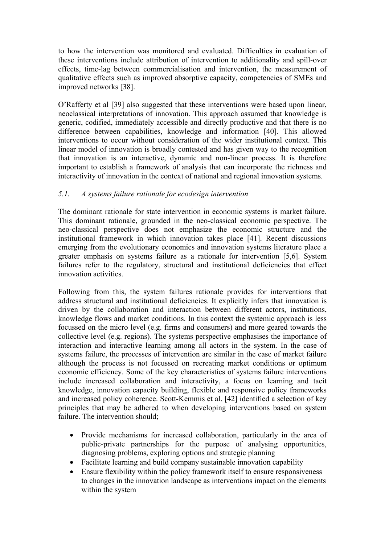to how the intervention was monitored and evaluated. Difficulties in evaluation of these interventions include attribution of intervention to additionality and spill-over effects, time-lag between commercialisation and intervention, the measurement of qualitative effects such as improved absorptive capacity, competencies of SMEs and improved networks [38].

O'Rafferty et al [39] also suggested that these interventions were based upon linear, neoclassical interpretations of innovation. This approach assumed that knowledge is generic, codified, immediately accessible and directly productive and that there is no difference between capabilities, knowledge and information [40]. This allowed interventions to occur without consideration of the wider institutional context. This linear model of innovation is broadly contested and has given way to the recognition that innovation is an interactive, dynamic and non-linear process. It is therefore important to establish a framework of analysis that can incorporate the richness and interactivity of innovation in the context of national and regional innovation systems.

# *5.1. A systems failure rationale for ecodesign intervention*

The dominant rationale for state intervention in economic systems is market failure. This dominant rationale, grounded in the neo-classical economic perspective. The neo-classical perspective does not emphasize the economic structure and the institutional framework in which innovation takes place [41]. Recent discussions emerging from the evolutionary economics and innovation systems literature place a greater emphasis on systems failure as a rationale for intervention [5,6]. System failures refer to the regulatory, structural and institutional deficiencies that effect innovation activities.

Following from this, the system failures rationale provides for interventions that address structural and institutional deficiencies. It explicitly infers that innovation is driven by the collaboration and interaction between different actors, institutions, knowledge flows and market conditions. In this context the systemic approach is less focussed on the micro level (e.g. firms and consumers) and more geared towards the collective level (e.g. regions). The systems perspective emphasises the importance of interaction and interactive learning among all actors in the system. In the case of systems failure, the processes of intervention are similar in the case of market failure although the process is not focussed on recreating market conditions or optimum economic efficiency. Some of the key characteristics of systems failure interventions include increased collaboration and interactivity, a focus on learning and tacit knowledge, innovation capacity building, flexible and responsive policy frameworks and increased policy coherence. Scott-Kemmis et al. [42] identified a selection of key principles that may be adhered to when developing interventions based on system failure. The intervention should;

- Provide mechanisms for increased collaboration, particularly in the area of public-private partnerships for the purpose of analysing opportunities, diagnosing problems, exploring options and strategic planning
- Facilitate learning and build company sustainable innovation capability
- Ensure flexibility within the policy framework itself to ensure responsiveness to changes in the innovation landscape as interventions impact on the elements within the system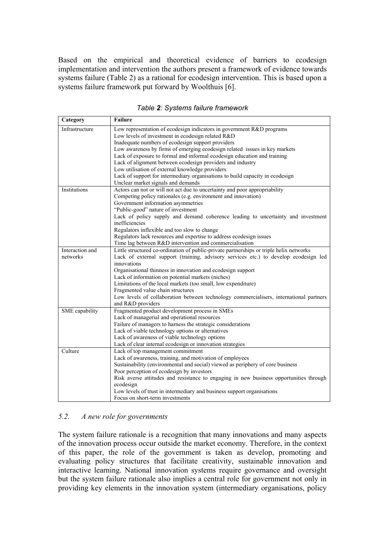Based on the empirical and theoretical evidence of barriers to ecodesign implementation and intervention the authors present a framework of evidence towards systems failure (Table 2) as a rational for ecodesign intervention. This is based upon a systems failure framework put forward by Woolthuis [6].

| Category        | <b>Failure</b>                                                                          |
|-----------------|-----------------------------------------------------------------------------------------|
| Infrastructure  | Low representation of ecodesign indicators in government R&D programs                   |
|                 | Low levels of investment in ecodesign related R&D                                       |
|                 | Inadequate numbers of ecodesign support providers                                       |
|                 | Low awareness by firms of emerging ecodesign related issues in key markets              |
|                 | Lack of exposure to formal and informal ecodesign education and training                |
|                 | Lack of alignment between ecodesign providers and industry                              |
|                 | Low utilisation of external knowledge providers                                         |
|                 | Lack of support for intermediary organisations to build capacity in ecodesign           |
|                 | Unclear market signals and demands                                                      |
| Institutions    | Actors can not or will not act due to uncertainty and poor appropriability              |
|                 | Competing policy rationales (e.g. environment and innovation)                           |
|                 | Government information asymmetries                                                      |
|                 | "Public-good" nature of investment                                                      |
|                 | Lack of policy supply and demand coherence leading to uncertainty and investment        |
|                 | inefficiencies                                                                          |
|                 | Regulators inflexible and too slow to change                                            |
|                 | Regulators lack resources and expertise to address ecodesign issues                     |
|                 | Time lag between R&D intervention and commercialisation                                 |
| Interaction and | Little structured co-ordination of public-private partnerships or triple helix networks |
| networks        | Lack of external support (training, advisory services etc.) to develop ecodesign led    |
|                 | innovations                                                                             |
|                 | Organisational thinness in innovation and ecodesign support                             |
|                 | Lack of information on potential markets (niches)                                       |
|                 | Limitations of the local markets (too small, low expenditure)                           |
|                 | Fragmented value chain structures                                                       |
|                 | Low levels of collaboration between technology commercialisers, international partners  |
|                 | and R&D providers                                                                       |
| SME capability  | Fragmented product development process in SMEs                                          |
|                 | Lack of managerial and operational resources                                            |
|                 | Failure of managers to harness the strategic considerations                             |
|                 | Lack of viable technology options or alternatives                                       |
|                 | Lack of awareness of viable technology options                                          |
|                 | Lack of clear internal ecodesign or innovation strategies                               |
| Culture         | Lack of top management commitment                                                       |
|                 | Lack of awareness, training, and motivation of employees                                |
|                 | Sustainability (environmental and social) viewed as periphery of core business          |
|                 | Poor perception of ecodesign by investors                                               |
|                 | Risk averse attitudes and resistance to engaging in new business opportunities through  |
|                 | ecodesign                                                                               |
|                 | Low levels of trust in intermediary and business support organisations                  |
|                 | Focus on short-term investments                                                         |

*Table 2: Systems failure framework* 

# *5.2. A new role for governments*

The system failure rationale is a recognition that many innovations and many aspects of the innovation process occur outside the market economy. Therefore, in the context of this paper, the role of the government is taken as develop, promoting and evaluating policy structures that facilitate creativity, sustainable innovation and interactive learning. National innovation systems require governance and oversight but the system failure rationale also implies a central role for government not only in providing key elements in the innovation system (intermediary organisations, policy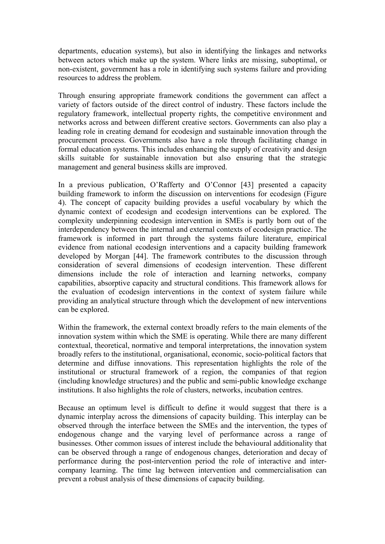departments, education systems), but also in identifying the linkages and networks between actors which make up the system. Where links are missing, suboptimal, or non-existent, government has a role in identifying such systems failure and providing resources to address the problem.

Through ensuring appropriate framework conditions the government can affect a variety of factors outside of the direct control of industry. These factors include the regulatory framework, intellectual property rights, the competitive environment and networks across and between different creative sectors. Governments can also play a leading role in creating demand for ecodesign and sustainable innovation through the procurement process. Governments also have a role through facilitating change in formal education systems. This includes enhancing the supply of creativity and design skills suitable for sustainable innovation but also ensuring that the strategic management and general business skills are improved.

In a previous publication, O'Rafferty and O'Connor [43] presented a capacity building framework to inform the discussion on interventions for ecodesign [\(Figure](#page-11-0)  [4](#page-11-0)). The concept of capacity building provides a useful vocabulary by which the dynamic context of ecodesign and ecodesign interventions can be explored. The complexity underpinning ecodesign intervention in SMEs is partly born out of the interdependency between the internal and external contexts of ecodesign practice. The framework is informed in part through the systems failure literature, empirical evidence from national ecodesign interventions and a capacity building framework developed by Morgan [44]. The framework contributes to the discussion through consideration of several dimensions of ecodesign intervention. These different dimensions include the role of interaction and learning networks, company capabilities, absorptive capacity and structural conditions. This framework allows for the evaluation of ecodesign interventions in the context of system failure while providing an analytical structure through which the development of new interventions can be explored.

Within the framework, the external context broadly refers to the main elements of the innovation system within which the SME is operating. While there are many different contextual, theoretical, normative and temporal interpretations, the innovation system broadly refers to the institutional, organisational, economic, socio-political factors that determine and diffuse innovations. This representation highlights the role of the institutional or structural framework of a region, the companies of that region (including knowledge structures) and the public and semi-public knowledge exchange institutions. It also highlights the role of clusters, networks, incubation centres.

Because an optimum level is difficult to define it would suggest that there is a dynamic interplay across the dimensions of capacity building. This interplay can be observed through the interface between the SMEs and the intervention, the types of endogenous change and the varying level of performance across a range of businesses. Other common issues of interest include the behavioural additionality that can be observed through a range of endogenous changes, deterioration and decay of performance during the post-intervention period the role of interactive and intercompany learning. The time lag between intervention and commercialisation can prevent a robust analysis of these dimensions of capacity building.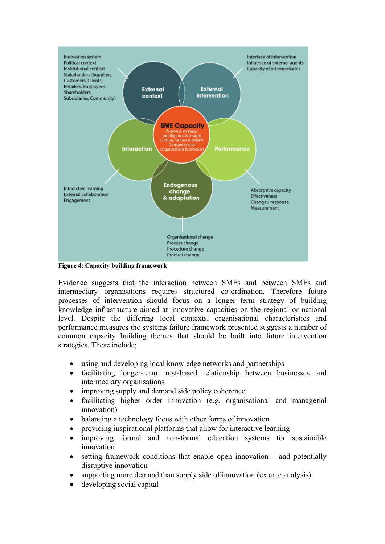

<span id="page-11-0"></span>**Figure 4: Capacity building framework** 

Evidence suggests that the interaction between SMEs and between SMEs and intermediary organisations requires structured co-ordination. Therefore future processes of intervention should focus on a longer term strategy of building knowledge infrastructure aimed at innovative capacities on the regional or national level. Despite the differing local contexts, organisational characteristics and performance measures the systems failure framework presented suggests a number of common capacity building themes that should be built into future intervention strategies. These include;

- using and developing local knowledge networks and partnerships
- facilitating longer-term trust-based relationship between businesses and intermediary organisations
- improving supply and demand side policy coherence
- facilitating higher order innovation (e.g. organisational and managerial innovation)
- balancing a technology focus with other forms of innovation
- providing inspirational platforms that allow for interactive learning
- improving formal and non-formal education systems for sustainable innovation
- setting framework conditions that enable open innovation  $-$  and potentially disruptive innovation
- supporting more demand than supply side of innovation (ex ante analysis)
- developing social capital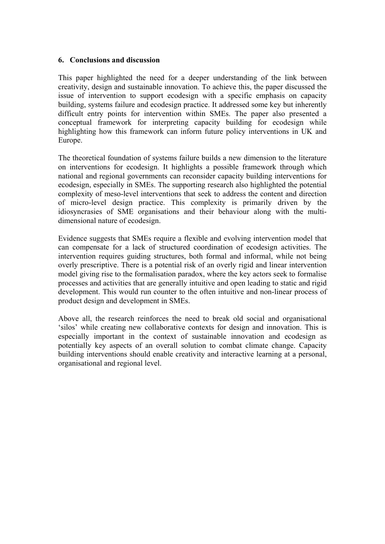#### **6. Conclusions and discussion**

This paper highlighted the need for a deeper understanding of the link between creativity, design and sustainable innovation. To achieve this, the paper discussed the issue of intervention to support ecodesign with a specific emphasis on capacity building, systems failure and ecodesign practice. It addressed some key but inherently difficult entry points for intervention within SMEs. The paper also presented a conceptual framework for interpreting capacity building for ecodesign while highlighting how this framework can inform future policy interventions in UK and Europe.

The theoretical foundation of systems failure builds a new dimension to the literature on interventions for ecodesign. It highlights a possible framework through which national and regional governments can reconsider capacity building interventions for ecodesign, especially in SMEs. The supporting research also highlighted the potential complexity of meso-level interventions that seek to address the content and direction of micro-level design practice. This complexity is primarily driven by the idiosyncrasies of SME organisations and their behaviour along with the multidimensional nature of ecodesign.

Evidence suggests that SMEs require a flexible and evolving intervention model that can compensate for a lack of structured coordination of ecodesign activities. The intervention requires guiding structures, both formal and informal, while not being overly prescriptive. There is a potential risk of an overly rigid and linear intervention model giving rise to the formalisation paradox, where the key actors seek to formalise processes and activities that are generally intuitive and open leading to static and rigid development. This would run counter to the often intuitive and non-linear process of product design and development in SMEs.

Above all, the research reinforces the need to break old social and organisational 'silos' while creating new collaborative contexts for design and innovation. This is especially important in the context of sustainable innovation and ecodesign as potentially key aspects of an overall solution to combat climate change. Capacity building interventions should enable creativity and interactive learning at a personal, organisational and regional level.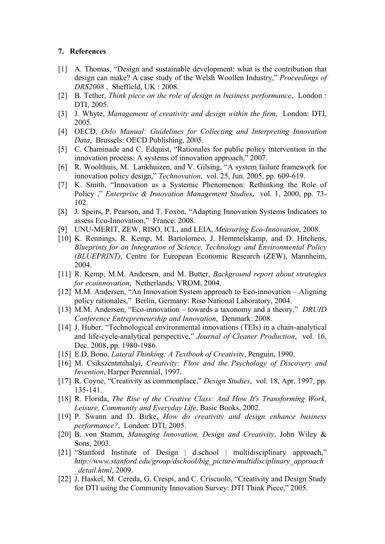### **7. References**

- [1] A. Thomas, "Design and sustainable development: what is the contribution that design can make? A case study of the Welsh Woollen Industry," *Proceedings of DRS2008* , Sheffield, UK : 2008.
- [2] B. Tether, *Think piece on the role of design in business performance*, London : DTI, 2005.
- [3] J. Whyte, *Management of creativity and design within the firm*, London: DTI, 2005.
- [4] OECD, *Oslo Manual: Guidelines for Collecting and Interpreting Innovation Data*, Brussels: OECD Publishing, 2005.
- [5] C. Chaminade and C. Edquist, "Rationales for public policy intervention in the innovation process: A systems of innovation approach," 2007.
- [6] R. Woolthuis, M. Lankhuizen, and V. Gilsing, "A system failure framework for innovation policy design," *Technovation*, vol. 25, Jun. 2005, pp. 609-619.
- [7] K. Smith, "Innovation as a Systemic Phenomenon: Rethinking the Role of Policy ," *Enterprise & Innovation Management Studies*, vol. 1, 2000, pp. 73- 102.
- [8] J. Speirs, P. Pearson, and T. Foxon, "Adapting Innovation Systems Indicators to assess Eco-Innovation," France: 2008.
- [9] UNU-MERIT, ZEW, RISO, ICL, and LEIA, *Measuring Eco-Innovation*, 2008.
- [10] K. Rennings, R. Kemp, M. Bartolomeo, J. Hemmelskamp, and D. Hitchens, *Blueprints for an Integration of Science, Technology and Environmental Policy (BLUEPRINT)*, Centre for European Economic Research (ZEW), Mannheim, 2004.
- [11] R. Kemp, M.M. Andersen, and M. Butter, *Background report about strategies for ecoinnovation*, Netherlands: VROM, 2004.
- [12] M.M. Andersen, "An Innovation System approach to Eco-innovation Aligning policy rationales," Berlin, Germany: Risø National Laboratory, 2004.
- [13] M.M. Andersen, "Eco-innovation towards a taxonomy and a theory," *DRUID Conference Entrepreneurship and Innovation*, Denmark: 2008.
- [14] J. Huber, "Technological environmental innovations (TEIs) in a chain-analytical and life-cycle-analytical perspective," *Journal of Cleaner Production*, vol. 16, Dec. 2008, pp. 1980-1986.
- [15] E.D. Bono, *Lateral Thinking: A Textbook of Creativity*, Penguin, 1990.
- [16] M. Csikszentmihalyi, *Creativity: Flow and the Psychology of Discovery and Invention*, Harper Perennial, 1997.
- [17] R. Coyne, "Creativity as commonplace," *Design Studies*, vol. 18, Apr. 1997, pp. 135-141.
- [18] R. Florida, *The Rise of the Creative Class: And How It's Transforming Work*, *Leisure, Community and Everyday Life*, Basic Books, 2002.
- [19] P. Swann and D. Birke, *How do creativity and design enhance business performance?*, London: DTI, 2005.
- [20] B. von Stamm, *Managing Innovation, Design and Creativity*, John Wiley & Sons, 2003.
- [21] "Stanford Institute of Design | d.school | multidisciplinary approach," *http://www.stanford.edu/group/dschool/big\_picture/multidisciplinary\_approach \_detail.html*, 2009.
- [22] J. Haskel, M. Cereda, G. Crespi, and C. Criscuolo, "Creativity and Design Study for DTI using the Community Innovation Survey: DTI Think Piece," 2005.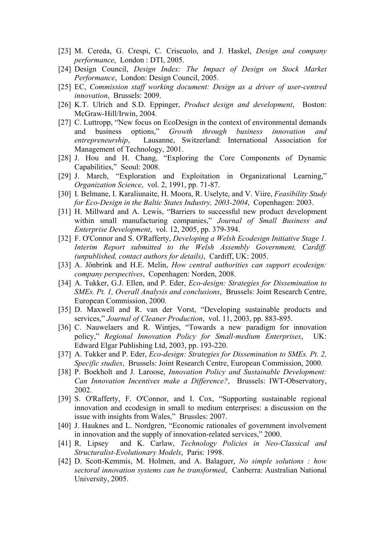- [23] M. Cereda, G. Crespi, C. Criscuolo, and J. Haskel, *Design and company performance*, London : DTI, 2005.
- [24] Design Council, *Design Index: The Impact of Design on Stock Market Performance*, London: Design Council, 2005.
- [25] EC, *Commission staff working document: Design as a driver of user-centred innovation*, Brussels: 2009.
- [26] K.T. Ulrich and S.D. Eppinger, *Product design and development*, Boston: McGraw-Hill/Irwin, 2004.
- [27] C. Luttropp, "New focus on EcoDesign in the context of environmental demands and business options," *Growth through business innovation and entrepreneurship*, Lausanne, Switzerland: International Association for Management of Technology, 2001.
- [28] J. Hou and H. Chang, "Exploring the Core Components of Dynamic Capabilities," Seoul: 2008.
- [29] J. March, "Exploration and Exploitation in Organizational Learning," *Organization Science*, vol. 2, 1991, pp. 71-87.
- [30] I. Belmane, I. Karaliunaite, H. Moora, R. Uselyte, and V. Viire, *Feasibility Study for Eco-Design in the Baltic States Industry, 2003-2004*, Copenhagen: 2003.
- [31] H. Millward and A. Lewis, "Barriers to successful new product development within small manufacturing companies," *Journal of Small Business and Enterprise Development*, vol. 12, 2005, pp. 379-394.
- [32] F. O'Connor and S. O'Rafferty, *Developing a Welsh Ecodesign Initiative Stage 1. Interim Report submitted to the Welsh Assembly Government, Cardiff. (unpublished, contact authors for details)*, Cardiff, UK: 2005.
- [33] A. Jönbrink and H.E. Melin, *How central authorities can support ecodesign: company perspectives*, Copenhagen: Norden, 2008.
- [34] A. Tukker, G.J. Ellen, and P. Eder, *Eco-design: Strategies for Dissemination to SMEs. Pt. 1, Overall Analysis and conclusions*, Brussels: Joint Research Centre, European Commission, 2000.
- [35] D. Maxwell and R. van der Vorst, "Developing sustainable products and services," *Journal of Cleaner Production*, vol. 11, 2003, pp. 883-895.
- [36] C. Nauwelaers and R. Wintjes, "Towards a new paradigm for innovation policy," *Regional Innovation Policy for Small-medium Enterprises*, UK: Edward Elgar Publishing Ltd, 2003, pp. 193-220.
- [37] A. Tukker and P. Eder, *Eco-design: Strategies for Dissemination to SMEs. Pt. 2, Specific studies*, Brussels: Joint Research Centre, European Commission, 2000.
- [38] P. Boekholt and J. Laroose, *Innovation Policy and Sustainable Development: Can Innovation Incentives make a Difference?*, Brussels: IWT-Observatory, 2002.
- [39] S. O'Rafferty, F. O'Connor, and I. Cox, "Supporting sustainable regional innovation and ecodesign in small to medium enterprises: a discussion on the issue with insights from Wales," Brussles: 2007.
- [40] J. Hauknes and L. Nordgren, "Economic rationales of government involvement in innovation and the supply of innovation-related services," 2000.
- [41] R. Lipsey and K. Carlaw, *Technology Policies in Neo-Classical and Structuralist-Evolutionary Models*, Paris: 1998.
- [42] D. Scott-Kemmis, M. Holmen, and A. Balaguer, *No simple solutions : how sectoral innovation systems can be transformed*, Canberra: Australian National University, 2005.